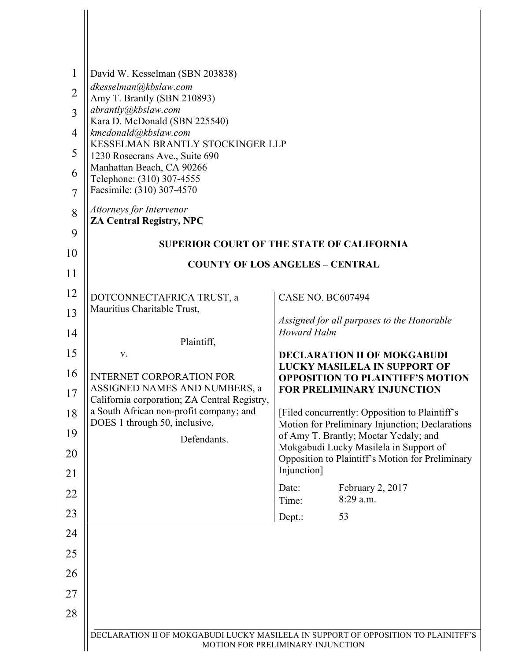| $\mathbf{1}$<br>$\overline{2}$<br>3<br>$\overline{4}$<br>5<br>6<br>$\overline{7}$<br>8<br>9 | David W. Kesselman (SBN 203838)<br>dkesselman@kbslaw.com<br>Amy T. Brantly (SBN 210893)<br>abrantly@kbslaw.com<br>Kara D. McDonald (SBN 225540)<br>kmcdonald@kbslaw.com<br>KESSELMAN BRANTLY STOCKINGER LLP<br>1230 Rosecrans Ave., Suite 690<br>Manhattan Beach, CA 90266<br>Telephone: (310) 307-4555<br>Facsimile: (310) 307-4570<br>Attorneys for Intervenor<br><b>ZA Central Registry, NPC</b> |                                                                                                                                                                                                                                                                |
|---------------------------------------------------------------------------------------------|-----------------------------------------------------------------------------------------------------------------------------------------------------------------------------------------------------------------------------------------------------------------------------------------------------------------------------------------------------------------------------------------------------|----------------------------------------------------------------------------------------------------------------------------------------------------------------------------------------------------------------------------------------------------------------|
| 10                                                                                          | <b>SUPERIOR COURT OF THE STATE OF CALIFORNIA</b><br><b>COUNTY OF LOS ANGELES - CENTRAL</b>                                                                                                                                                                                                                                                                                                          |                                                                                                                                                                                                                                                                |
| 11                                                                                          |                                                                                                                                                                                                                                                                                                                                                                                                     |                                                                                                                                                                                                                                                                |
| 12                                                                                          | DOTCONNECTAFRICA TRUST, a                                                                                                                                                                                                                                                                                                                                                                           | <b>CASE NO. BC607494</b>                                                                                                                                                                                                                                       |
| 13                                                                                          | Mauritius Charitable Trust,                                                                                                                                                                                                                                                                                                                                                                         | Assigned for all purposes to the Honorable                                                                                                                                                                                                                     |
| 14                                                                                          | Plaintiff,                                                                                                                                                                                                                                                                                                                                                                                          | <b>Howard Halm</b>                                                                                                                                                                                                                                             |
| 15                                                                                          | V.<br><b>INTERNET CORPORATION FOR</b><br>ASSIGNED NAMES AND NUMBERS, a<br>California corporation; ZA Central Registry,<br>a South African non-profit company; and<br>DOES 1 through 50, inclusive,<br>Defendants.                                                                                                                                                                                   | <b>DECLARATION II OF MOKGABUDI</b><br><b>LUCKY MASILELA IN SUPPORT OF</b><br><b>OPPOSITION TO PLAINTIFF'S MOTION</b><br><b>FOR PRELIMINARY INJUNCTION</b><br>[Filed concurrently: Opposition to Plaintiff's<br>Motion for Preliminary Injunction; Declarations |
| 16                                                                                          |                                                                                                                                                                                                                                                                                                                                                                                                     |                                                                                                                                                                                                                                                                |
| 17                                                                                          |                                                                                                                                                                                                                                                                                                                                                                                                     |                                                                                                                                                                                                                                                                |
| 18                                                                                          |                                                                                                                                                                                                                                                                                                                                                                                                     |                                                                                                                                                                                                                                                                |
| 19                                                                                          |                                                                                                                                                                                                                                                                                                                                                                                                     | of Amy T. Brantly; Moctar Yedaly; and<br>Mokgabudi Lucky Masilela in Support of                                                                                                                                                                                |
| 20<br>21                                                                                    |                                                                                                                                                                                                                                                                                                                                                                                                     | Opposition to Plaintiff's Motion for Preliminary<br>Injunction]                                                                                                                                                                                                |
| 22                                                                                          |                                                                                                                                                                                                                                                                                                                                                                                                     | February 2, 2017<br>Date:                                                                                                                                                                                                                                      |
| 23                                                                                          |                                                                                                                                                                                                                                                                                                                                                                                                     | 8:29 a.m.<br>Time:                                                                                                                                                                                                                                             |
| 24                                                                                          |                                                                                                                                                                                                                                                                                                                                                                                                     | Dept.:<br>53                                                                                                                                                                                                                                                   |
| 25                                                                                          |                                                                                                                                                                                                                                                                                                                                                                                                     |                                                                                                                                                                                                                                                                |
| 26                                                                                          |                                                                                                                                                                                                                                                                                                                                                                                                     |                                                                                                                                                                                                                                                                |
| 27                                                                                          |                                                                                                                                                                                                                                                                                                                                                                                                     |                                                                                                                                                                                                                                                                |
| 28                                                                                          |                                                                                                                                                                                                                                                                                                                                                                                                     |                                                                                                                                                                                                                                                                |
|                                                                                             |                                                                                                                                                                                                                                                                                                                                                                                                     |                                                                                                                                                                                                                                                                |
|                                                                                             | DECLARATION II OF MOKGABUDI LUCKY MASILELA IN SUPPORT OF OPPOSITION TO PLAINITFF'S<br>MOTION FOR PRELIMINARY INJUNCTION                                                                                                                                                                                                                                                                             |                                                                                                                                                                                                                                                                |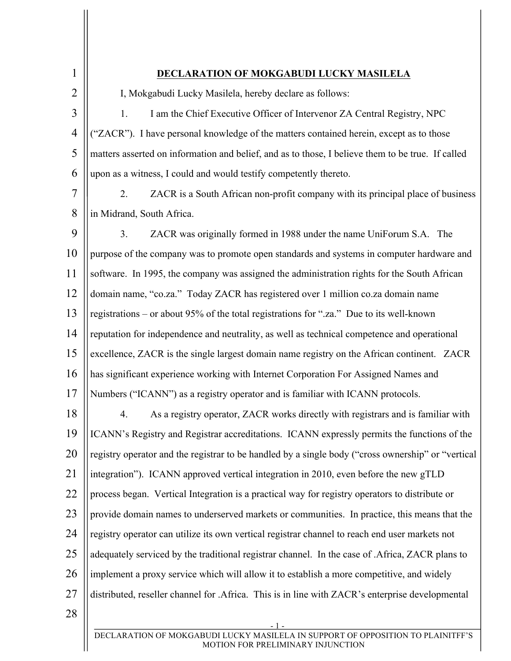| $\mathbf{1}$   | DECLARATION OF MOKGABUDI LUCKY MASILELA                                                                              |  |
|----------------|----------------------------------------------------------------------------------------------------------------------|--|
| $\overline{2}$ | I, Mokgabudi Lucky Masilela, hereby declare as follows:                                                              |  |
| 3              | I am the Chief Executive Officer of Intervenor ZA Central Registry, NPC<br>1.                                        |  |
| $\overline{4}$ | "ZACR"). I have personal knowledge of the matters contained herein, except as to those                               |  |
| 5              | matters asserted on information and belief, and as to those, I believe them to be true. If called                    |  |
| 6              | upon as a witness, I could and would testify competently thereto.                                                    |  |
| 7              | 2.<br>ZACR is a South African non-profit company with its principal place of business                                |  |
| 8              | in Midrand, South Africa.                                                                                            |  |
| 9              | 3.<br>ZACR was originally formed in 1988 under the name UniForum S.A. The                                            |  |
| 10             | purpose of the company was to promote open standards and systems in computer hardware and                            |  |
| 11             | software. In 1995, the company was assigned the administration rights for the South African                          |  |
| 12             | domain name, "co.za." Today ZACR has registered over 1 million co.za domain name                                     |  |
| 13             | registrations – or about 95% of the total registrations for ".za." Due to its well-known                             |  |
| 14             | reputation for independence and neutrality, as well as technical competence and operational                          |  |
| 15             | excellence, ZACR is the single largest domain name registry on the African continent. ZACR                           |  |
| 16             | has significant experience working with Internet Corporation For Assigned Names and                                  |  |
| 17             | Numbers ("ICANN") as a registry operator and is familiar with ICANN protocols.                                       |  |
| 18             | As a registry operator, ZACR works directly with registrars and is familiar with<br>4.                               |  |
| 19             | ICANN's Registry and Registrar accreditations. ICANN expressly permits the functions of the                          |  |
| 20             | registry operator and the registrar to be handled by a single body ("cross ownership" or "vertical                   |  |
| 21             | integration"). ICANN approved vertical integration in 2010, even before the new gTLD                                 |  |
| 22             | process began. Vertical Integration is a practical way for registry operators to distribute or                       |  |
| 23             | provide domain names to underserved markets or communities. In practice, this means that the                         |  |
| 24             | registry operator can utilize its own vertical registrar channel to reach end user markets not                       |  |
| 25             | adequately serviced by the traditional registrar channel. In the case of .Africa, ZACR plans to                      |  |
| 26             | implement a proxy service which will allow it to establish a more competitive, and widely                            |  |
| 27             | distributed, reseller channel for .Africa. This is in line with ZACR's enterprise developmental                      |  |
| 28             |                                                                                                                      |  |
|                | DECLARATION OF MOKGABUDI LUCKY MASILELA IN SUPPORT OF OPPOSITION TO PLAINITFF'S<br>MOTION FOR PRELIMINARY INJUNCTION |  |